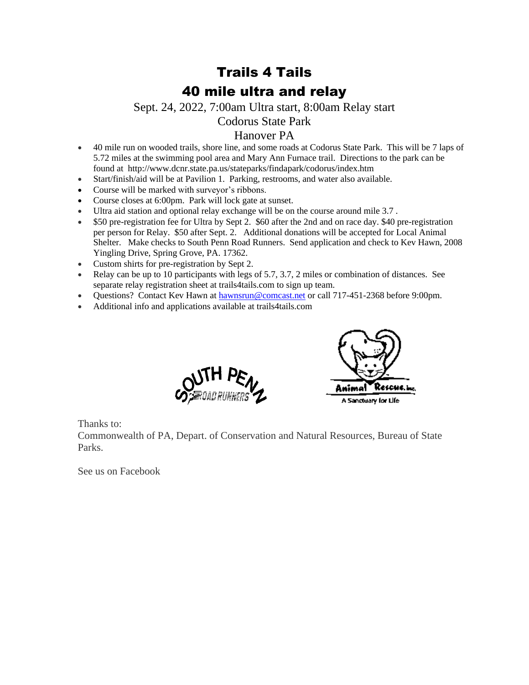## Trails 4 Tails 40 mile ultra and relay

Sept. 24, 2022, 7:00am Ultra start, 8:00am Relay start

Codorus State Park

## Hanover PA

- 40 mile run on wooded trails, shore line, and some roads at Codorus State Park. This will be 7 laps of 5.72 miles at the swimming pool area and Mary Ann Furnace trail. Directions to the park can be found at http://www.dcnr.state.pa.us/stateparks/findapark/codorus/index.htm
- Start/finish/aid will be at Pavilion 1. Parking, restrooms, and water also available.
- Course will be marked with surveyor's ribbons.
- Course closes at 6:00pm. Park will lock gate at sunset.
- Ultra aid station and optional relay exchange will be on the course around mile 3.7 .
- \$50 pre-registration fee for Ultra by Sept 2. \$60 after the 2nd and on race day. \$40 pre-registration per person for Relay. \$50 after Sept. 2. Additional donations will be accepted for Local Animal Shelter. Make checks to South Penn Road Runners. Send application and check to Kev Hawn, 2008 Yingling Drive, Spring Grove, PA. 17362.
- Custom shirts for pre-registration by Sept 2.
- Relay can be up to 10 participants with legs of 5.7, 3.7, 2 miles or combination of distances. See separate relay registration sheet at trails4tails.com to sign up team.
- Questions? Contact Kev Hawn at [hawnsrun@comcast.net](mailto:hawnsrun@comcast.net) or call 717-451-2368 before 9:00pm.
- Additional info and applications available at trails4tails.com





Thanks to:

Commonwealth of PA, Depart. of Conservation and Natural Resources, Bureau of State Parks.

See us on Facebook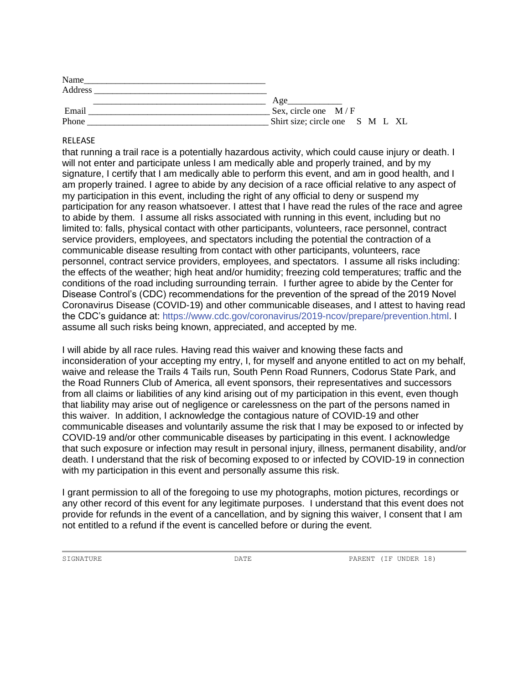| Name    |                                 |
|---------|---------------------------------|
| Address |                                 |
|         | Age                             |
| Email   | Sex, circle one $M/F$           |
| Phone   | Shirt size; circle one S M L XL |

## RELEASE

that running a trail race is a potentially hazardous activity, which could cause injury or death. I will not enter and participate unless I am medically able and properly trained, and by my signature, I certify that I am medically able to perform this event, and am in good health, and I am properly trained. I agree to abide by any decision of a race official relative to any aspect of my participation in this event, including the right of any official to deny or suspend my participation for any reason whatsoever. I attest that I have read the rules of the race and agree to abide by them. I assume all risks associated with running in this event, including but no limited to: falls, physical contact with other participants, volunteers, race personnel, contract service providers, employees, and spectators including the potential the contraction of a communicable disease resulting from contact with other participants, volunteers, race personnel, contract service providers, employees, and spectators. I assume all risks including: the effects of the weather; high heat and/or humidity; freezing cold temperatures; traffic and the conditions of the road including surrounding terrain. I further agree to abide by the Center for Disease Control's (CDC) recommendations for the prevention of the spread of the 2019 Novel Coronavirus Disease (COVID-19) and other communicable diseases, and I attest to having read the CDC's guidance at: [https://www.cdc.gov/coronavirus/2019-ncov/prepare/prevention.html.](https://www.cdc.gov/coronavirus/2019-ncov/prepare/prevention.html) I assume all such risks being known, appreciated, and accepted by me.

I will abide by all race rules. Having read this waiver and knowing these facts and inconsideration of your accepting my entry, I, for myself and anyone entitled to act on my behalf, waive and release the Trails 4 Tails run, South Penn Road Runners, Codorus State Park, and the Road Runners Club of America, all event sponsors, their representatives and successors from all claims or liabilities of any kind arising out of my participation in this event, even though that liability may arise out of negligence or carelessness on the part of the persons named in this waiver. In addition, I acknowledge the contagious nature of COVID-19 and other communicable diseases and voluntarily assume the risk that I may be exposed to or infected by COVID-19 and/or other communicable diseases by participating in this event. I acknowledge that such exposure or infection may result in personal injury, illness, permanent disability, and/or death. I understand that the risk of becoming exposed to or infected by COVID-19 in connection with my participation in this event and personally assume this risk.

I grant permission to all of the foregoing to use my photographs, motion pictures, recordings or any other record of this event for any legitimate purposes. I understand that this event does not provide for refunds in the event of a cancellation, and by signing this waiver, I consent that I am not entitled to a refund if the event is cancelled before or during the event.